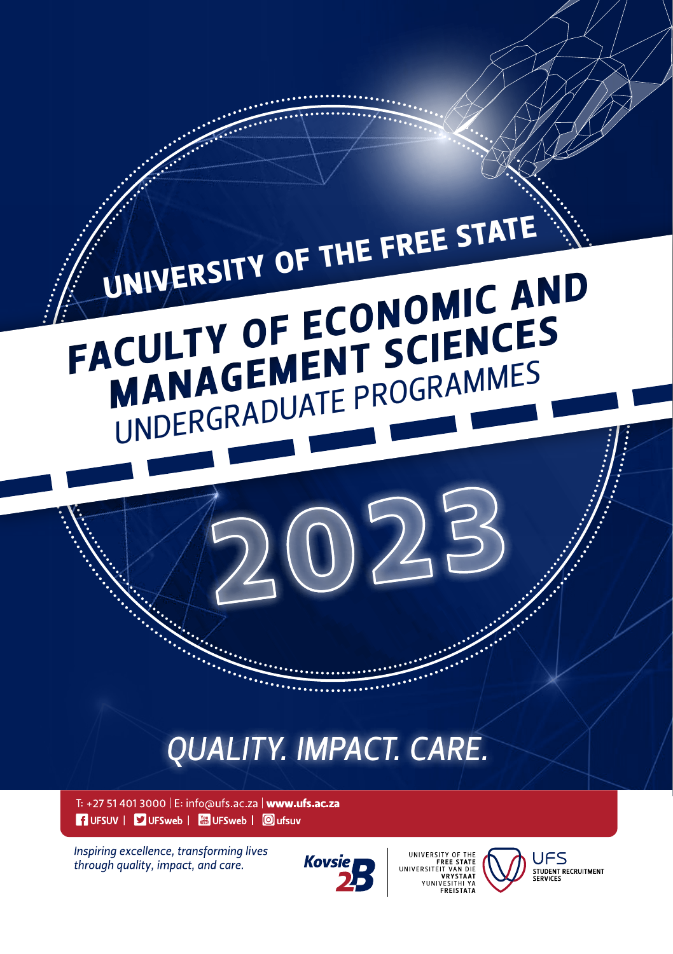

Inspiring excellence, transforming lives through quality, impact, and care.







**UFS STUDENT RECRUITMENT**<br>SERVICES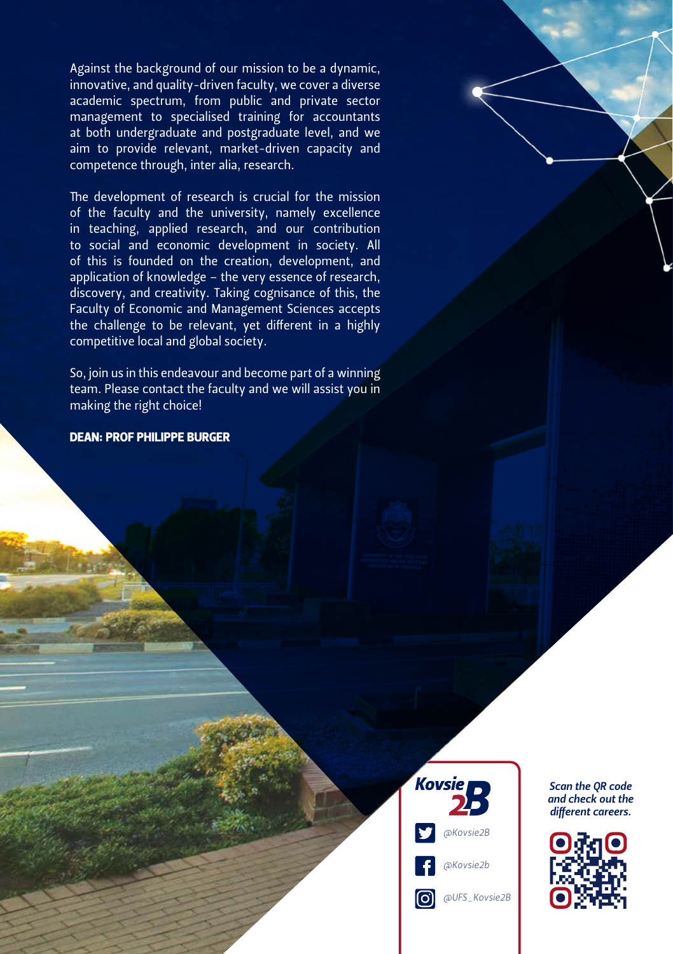Against the background of our mission to be a dynamic, innovative, and quality-driven faculty, we cover a diverse academic spectrum, from public and private sector management to specialised training for accountants at both undergraduate and postgraduate level, and we aim to provide relevant, market-driven capacity and competence through, inter alia, research.

The development of research is crucial for the mission of the faculty and the university, namely excellence in teaching, applied research, and our contribution to social and economic development in society. All of this is founded on the creation, development, and application of knowledge - the very essence of research, discovery, and creativity. Taking cognisance of this, the Faculty of Economic and Management Sciences accepts the challenge to be relevant, yet different in a highly competitive local and global society.

So, join us in this endeavour and become part of a winning team. Please contact the faculty and we will assist you in making the right choice!

DEAN: PROF PHILIPPE BURGER



*Scan the QR code and check out the different careers.*

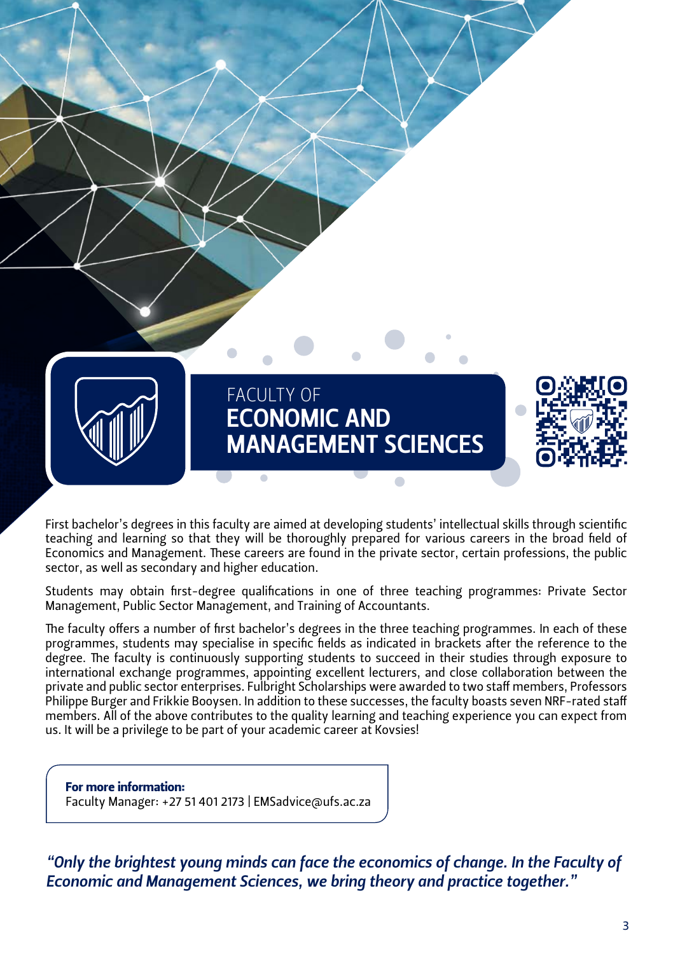

First bachelor's degrees in this faculty are aimed at developing students' intellectual skills through scientific teaching and learning so that they will be thoroughly prepared for various careers in the broad field of Economics and Management. These careers are found in the private sector, certain professions, the public sector, as well as secondary and higher education.

Students may obtain first-degree qualifications in one of three teaching programmes: Private Sector Management, Public Sector Management, and Training of Accountants.

The faculty offers a number of first bachelor's degrees in the three teaching programmes. In each of these programmes, students may specialise in specific fields as indicated in brackets after the reference to the degree. The faculty is continuously supporting students to succeed in their studies through exposure to international exchange programmes, appointing excellent lecturers, and close collaboration between the private and public sector enterprises. Fulbright Scholarships were awarded to two staff members, Professors Philippe Burger and Frikkie Booysen. In addition to these successes, the faculty boasts seven NRF-rated staff members. All of the above contributes to the quality learning and teaching experience you can expect from us. It will be a privilege to be part of your academic career at Kovsies!

For more information: Faculty Manager: +27 51 401 2173 | EMSadvice@ufs.ac.za

*"Only the brightest young minds can face the economics of change. In the Faculty of Economic and Management Sciences, we bring theory and practice together."*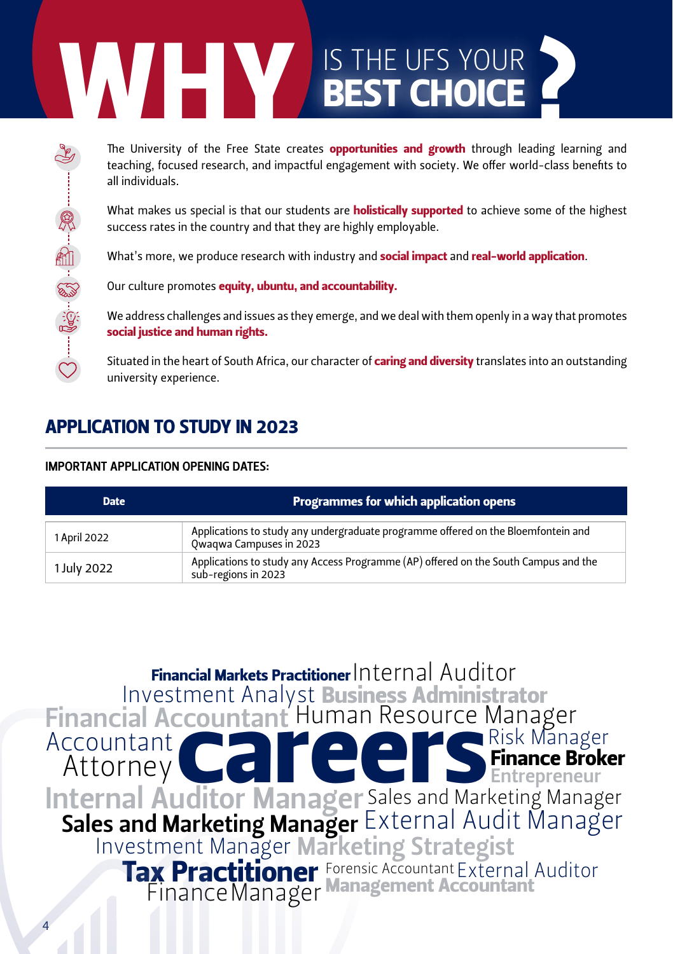# The University of the Free State creates **opportunities and growth** through leteaching, focused research, and impactful engagement with society. We offer word all individuals.<br>
What makes us special is that our students ar

The University of the Free State creates **opportunities and growth** through leading learning and teaching, focused research, and impactful engagement with society. We offer world-class benefits to all individuals.

What makes us special is that our students are **holistically supported** to achieve some of the highest success rates in the country and that they are highly employable.

What's more, we produce research with industry and **social impact** and real-world application.

Our culture promotes equity, ubuntu, and accountability.

We address challenges and issues as they emerge, and we deal with them openly in a way that promotes social justice and human rights.

Situated in the heart of South Africa, our character of caring and diversity translates into an outstanding university experience.

# APPLICATION TO STUDY IN 2023

#### IMPORTANT APPLICATION OPENING DATES:

| <b>Programmes for which application opens</b><br><b>Date</b> |                                                                                                              |
|--------------------------------------------------------------|--------------------------------------------------------------------------------------------------------------|
| 1 April 2022                                                 | Applications to study any undergraduate programme offered on the Bloemfontein and<br>Owagwa Campuses in 2023 |
| 1 July 2022                                                  | Applications to study any Access Programme (AP) offered on the South Campus and the<br>sub-regions in 2023   |

Attorney Management Accountant Investment Analyst Investment Manager Internal Auditor Manager **Financial Markets Practitioner**  $\small{\mathsf{Internal}\xspace}$  <code>Auditor</code>  ${\sf Sales}$  and Marketing Manager  ${\sf External}$  Audit Manager External Auditor Human Resource Manager Countant Human Resource Manager Marketing Strategist Finance Manager Accountant **Risk Manager Finance Broker Entrepreneur Tax Practitioner Forensic Accountant** Business Administrator Financial Accountant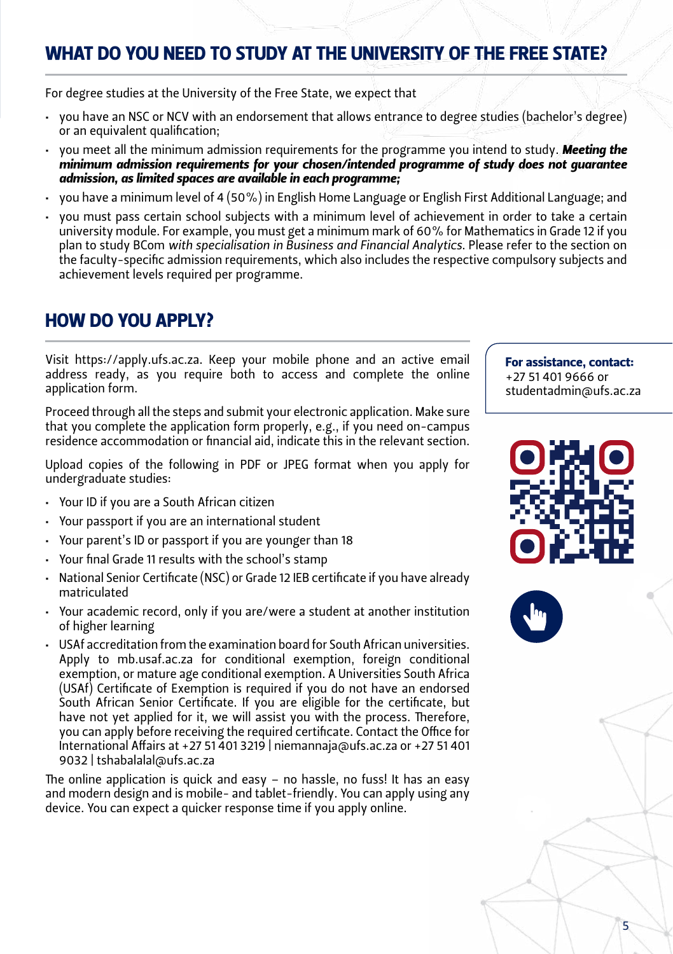# WHAT DO YOU NEED TO STUDY AT THE UNIVERSITY OF THE FREE STATE?

For degree studies at the University of the Free State, we expect that

- you have an NSC or NCV with an endorsement that allows entrance to degree studies (bachelor's degree) or an equivalent qualification;
- you meet all the minimum admission requirements for the programme you intend to study. **Meeting the** *minimum admission requirements for your chosen/intended programme of study does not guarantee admission, as limited spaces are available in each programme;*
- you have a minimum level of 4 (50%) in English Home Language or English First Additional Language; and
- you must pass certain school subjects with a minimum level of achievement in order to take a certain university module. For example, you must get a minimum mark of 60% for Mathematics in Grade 12 if you plan to study BCom *with specialisation in Business and Financial Analytics*. Please refer to the section on the faculty-specific admission requirements, which also includes the respective compulsory subjects and achievement levels required per programme.

# HOW DO YOU APPLY?

Visit https://apply.ufs.ac.za. Keep your mobile phone and an active email address ready, as you require both to access and complete the online application form.

Proceed through all the steps and submit your electronic application. Make sure that you complete the application form properly, e.g., if you need on-campus residence accommodation or financial aid, indicate this in the relevant section.

Upload copies of the following in PDF or JPEG format when you apply for undergraduate studies:

- • Your ID if you are a South African citizen
- Your passport if you are an international student
- Your parent's ID or passport if you are younger than 18
- Your final Grade 11 results with the school's stamp
- National Senior Certificate (NSC) or Grade 12 IEB certificate if you have already matriculated
- • Your academic record, only if you are/were a student at another institution of higher learning
- • USAf accreditation from the examination board for South African universities. Apply to mb.usaf.ac.za for conditional exemption, foreign conditional exemption, or mature age conditional exemption. A Universities South Africa (USAf) Certificate of Exemption is required if you do not have an endorsed South African Senior Certificate. If you are eligible for the certificate, but have not yet applied for it, we will assist you with the process. Therefore, you can apply before receiving the required certificate. Contact the Office for International Affairs at +27 51 401 3219 | [niemannaja@ufs.ac.za](mailto:niemannaja@ufs.ac.za) or +27 51 401 9032 | tshabalalal@ufs.ac.za

The online application is quick and easy – no hassle, no fuss! It has an easy and modern design and is mobile- and tablet-friendly. You can apply using any device. You can expect a quicker response time if you apply online.

#### For assistance, contact: +27 51 401 9666 or

studentadmin@ufs.ac.za





5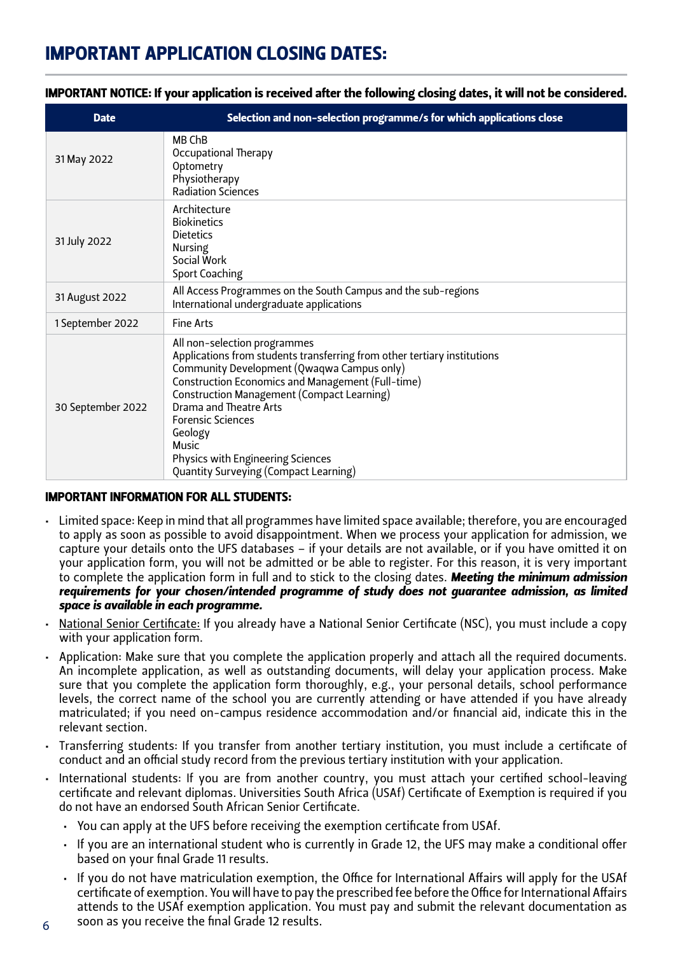# Important APPLICATION CLOSING Dates:

| <b>Date</b>       | Selection and non-selection programme/s for which applications close                                                                                                                                                                                                                                                                                                                                              |
|-------------------|-------------------------------------------------------------------------------------------------------------------------------------------------------------------------------------------------------------------------------------------------------------------------------------------------------------------------------------------------------------------------------------------------------------------|
| 31 May 2022       | MB ChB<br>Occupational Therapy<br>Optometry<br>Physiotherapy<br><b>Radiation Sciences</b>                                                                                                                                                                                                                                                                                                                         |
| 31 July 2022      | Architecture<br><b>Biokinetics</b><br><b>Dietetics</b><br>Nursing<br>Social Work<br>Sport Coaching                                                                                                                                                                                                                                                                                                                |
| 31 August 2022    | All Access Programmes on the South Campus and the sub-regions<br>International undergraduate applications                                                                                                                                                                                                                                                                                                         |
| 1 September 2022  | <b>Fine Arts</b>                                                                                                                                                                                                                                                                                                                                                                                                  |
| 30 September 2022 | All non-selection programmes<br>Applications from students transferring from other tertiary institutions<br>Community Development (Qwaqwa Campus only)<br>Construction Economics and Management (Full-time)<br>Construction Management (Compact Learning)<br>Drama and Theatre Arts<br><b>Forensic Sciences</b><br>Geology<br>Music<br>Physics with Engineering Sciences<br>Quantity Surveying (Compact Learning) |

#### IMPORTANT NOTICE: If your application is received after the following closing dates, it will not be considered.

#### IMPORTANT INFORMATION FOR ALL STUDENTS:

- • Limited space: Keep in mind that all programmes have limited space available; therefore, you are encouraged to apply as soon as possible to avoid disappointment. When we process your application for admission, we capture your details onto the UFS databases – if your details are not available, or if you have omitted it on your application form, you will not be admitted or be able to register. For this reason, it is very important to complete the application form in full and to stick to the closing dates. *Meeting the minimum admission requirements for your chosen/intended programme of study does not guarantee admission, as limited space is available in each programme.*
- National Senior Certificate: If you already have a National Senior Certificate (NSC), you must include a copy with your application form.
- • Application: Make sure that you complete the application properly and attach all the required documents. An incomplete application, as well as outstanding documents, will delay your application process. Make sure that you complete the application form thoroughly, e.g., your personal details, school performance levels, the correct name of the school you are currently attending or have attended if you have already matriculated; if you need on-campus residence accommodation and/or financial aid, indicate this in the relevant section.
- • Transferring students: If you transfer from another tertiary institution, you must include a certificate of conduct and an official study record from the previous tertiary institution with your application.
- • International students: If you are from another country, you must attach your certified school-leaving certificate and relevant diplomas. Universities South Africa (USAf) Certificate of Exemption is required if you do not have an endorsed South African Senior Certificate.
	- • You can apply at the UFS before receiving the exemption certificate from USAf.
	- • If you are an international student who is currently in Grade 12, the UFS may make a conditional offer based on your final Grade 11 results.
	- • If you do not have matriculation exemption, the Office for International Affairs will apply for the USAf certificate of exemption. You will have to pay the prescribed fee before the Office for International Affairs attends to the USAf exemption application. You must pay and submit the relevant documentation as soon as you receive the final Grade 12 results.
- 6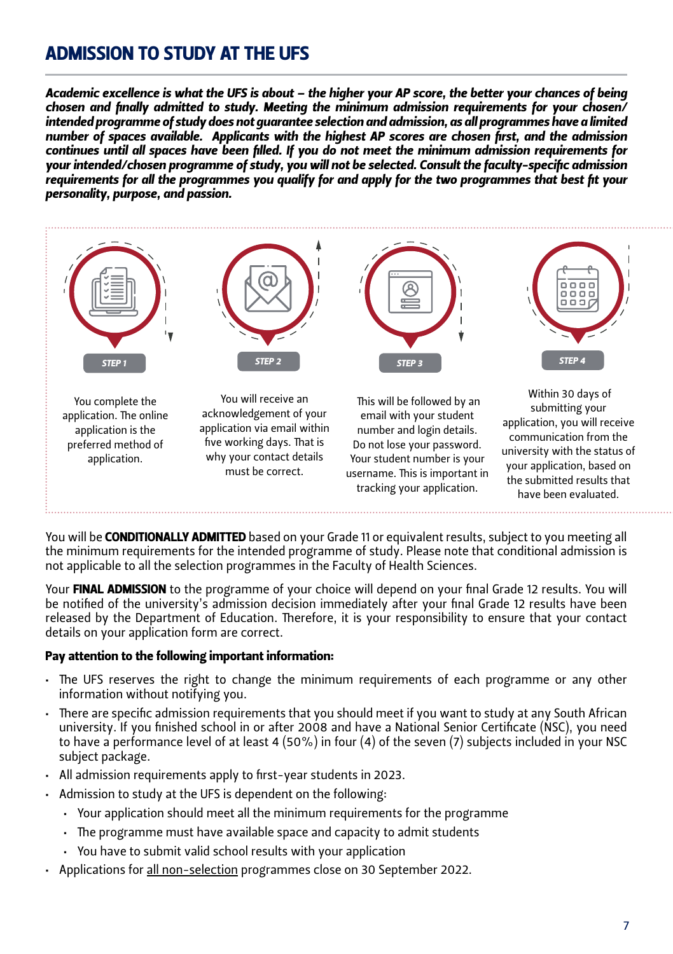# ADMISSION TO STUDY AT THE UFS

*Academic excellence is what the UFS is about – the higher your AP score, the better your chances of being chosen and finally admitted to study. Meeting the minimum admission requirements for your chosen/ intended programme of study does not guarantee selection and admission, as all programmes have a limited number of spaces available. Applicants with the highest AP scores are chosen first, and the admission continues until all spaces have been filled. If you do not meet the minimum admission requirements for your intended/chosen programme of study, you will not be selected. Consult the faculty-specific admission requirements for all the programmes you qualify for and apply for the two programmes that best fit your personality, purpose, and passion.*



You will be **CONDITIONALLY ADMITTED** based on your Grade 11 or equivalent results, subject to you meeting all the minimum requirements for the intended programme of study. Please note that conditional admission is not applicable to all the selection programmes in the Faculty of Health Sciences.

Your FINAL ADMISSION to the programme of your choice will depend on your final Grade 12 results. You will be notified of the university's admission decision immediately after your final Grade 12 results have been released by the Department of Education. Therefore, it is your responsibility to ensure that your contact details on your application form are correct.

#### Pay attention to the following important information:

- • The UFS reserves the right to change the minimum requirements of each programme or any other information without notifying you.
- • There are specific admission requirements that you should meet if you want to study at any South African university. If you finished school in or after 2008 and have a National Senior Certificate (NSC), you need to have a performance level of at least 4 (50%) in four (4) of the seven (7) subjects included in your NSC subject package.
- • All admission requirements apply to first-year students in 2023.
- • Admission to study at the UFS is dependent on the following:
	- • Your application should meet all the minimum requirements for the programme
	- The programme must have available space and capacity to admit students
	- • You have to submit valid school results with your application
- • Applications for all non-selection programmes close on 30 September 2022.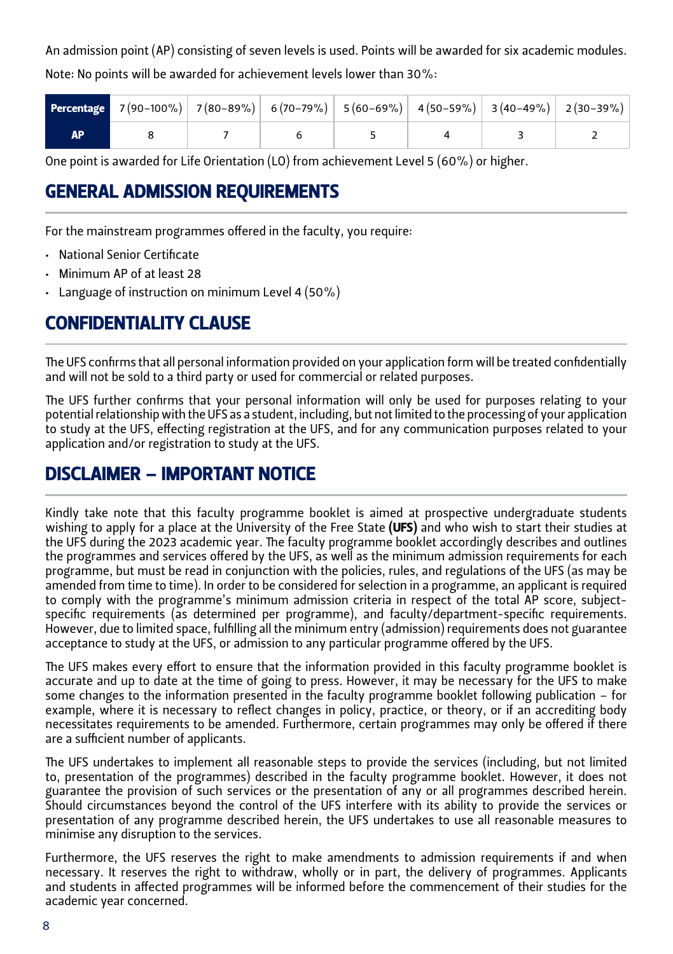An admission point (AP) consisting of seven levels is used. Points will be awarded for six academic modules. Note: No points will be awarded for achievement levels lower than 30%:

| <b>Percentage</b> $7(90-100\%)$ $7(80-89\%)$ 6(70-79%) 5(60-69%) 4(50-59%) 3(40-49%) 2(30-39%) |  |  |  |
|------------------------------------------------------------------------------------------------|--|--|--|
|                                                                                                |  |  |  |

One point is awarded for Life Orientation (LO) from achievement Level 5 (60%) or higher.

# GENERAL ADMISSION REQUIREMENTS

For the mainstream programmes offered in the faculty, you require:

- • National Senior Certificate
- • Minimum AP of at least 28
- Language of instruction on minimum Level 4 (50%)

# CONFIDENTIALITY CLAUSE

The UFS confirms that all personal information provided on your application form will be treated confidentially and will not be sold to a third party or used for commercial or related purposes.

The UFS further confirms that your personal information will only be used for purposes relating to your potential relationship with the UFS as a student, including, but not limited to the processing of your application to study at the UFS, effecting registration at the UFS, and for any communication purposes related to your application and/or registration to study at the UFS.

# DISCLAIMER – IMPORTANT NOTICE

Kindly take note that this faculty programme booklet is aimed at prospective undergraduate students wishing to apply for a place at the University of the Free State (UFS) and who wish to start their studies at the UFS during the 2023 academic year. The faculty programme booklet accordingly describes and outlines the programmes and services offered by the UFS, as well as the minimum admission requirements for each programme, but must be read in conjunction with the policies, rules, and regulations of the UFS (as may be amended from time to time). In order to be considered for selection in a programme, an applicant is required to comply with the programme's minimum admission criteria in respect of the total AP score, subjectspecific requirements (as determined per programme), and faculty/department-specific requirements. However, due to limited space, fulfilling all the minimum entry (admission) requirements does not guarantee acceptance to study at the UFS, or admission to any particular programme offered by the UFS.

The UFS makes every effort to ensure that the information provided in this faculty programme booklet is accurate and up to date at the time of going to press. However, it may be necessary for the UFS to make some changes to the information presented in the faculty programme booklet following publication – for example, where it is necessary to reflect changes in policy, practice, or theory, or if an accrediting body necessitates requirements to be amended. Furthermore, certain programmes may only be offered if there are a sufficient number of applicants.

The UFS undertakes to implement all reasonable steps to provide the services (including, but not limited to, presentation of the programmes) described in the faculty programme booklet. However, it does not guarantee the provision of such services or the presentation of any or all programmes described herein. Should circumstances beyond the control of the UFS interfere with its ability to provide the services or presentation of any programme described herein, the UFS undertakes to use all reasonable measures to minimise any disruption to the services.

Furthermore, the UFS reserves the right to make amendments to admission requirements if and when necessary. It reserves the right to withdraw, wholly or in part, the delivery of programmes. Applicants and students in affected programmes will be informed before the commencement of their studies for the academic year concerned.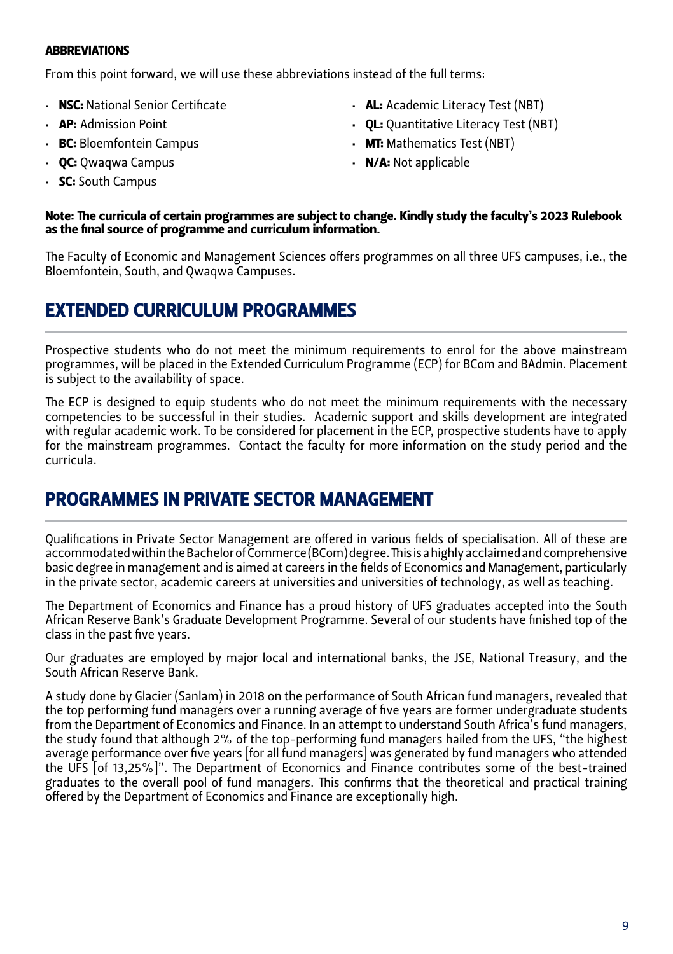#### **ABBREVIATIONS**

From this point forward, we will use these abbreviations instead of the full terms:

- • NSC: National Senior Certificate
- • AP: Admission Point
- **BC:** Bloemfontein Campus
- **QC: Owagwa Campus**
- SC: South Campus
- • AL: Academic Literacy Test (NBT)
- OL: Quantitative Literacy Test (NBT)
- **MT:** Mathematics Test (NBT)
- **N/A:** Not applicable

#### Note: The curricula of certain programmes are subject to change. Kindly study the faculty's 2023 Rulebook as the final source of programme and curriculum information.

The Faculty of Economic and Management Sciences offers programmes on all three UFS campuses, i.e., the Bloemfontein, South, and Owagwa Campuses.

### EXTENDED CURRICULUM PROGRAMMES

Prospective students who do not meet the minimum requirements to enrol for the above mainstream programmes, will be placed in the Extended Curriculum Programme (ECP) for BCom and BAdmin. Placement is subject to the availability of space.

The ECP is designed to equip students who do not meet the minimum requirements with the necessary competencies to be successful in their studies. Academic support and skills development are integrated with regular academic work. To be considered for placement in the ECP, prospective students have to apply for the mainstream programmes. Contact the faculty for more information on the study period and the curricula.

## PROGRAMMES IN PRIVATE SECTOR MANAGEMENT

Qualifications in Private Sector Management are offered in various fields of specialisation. All of these are accommodated within the Bachelor of Commerce (BCom) degree. This is a highly acclaimed and comprehensive basic degree in management and is aimed at careers in the fields of Economics and Management, particularly in the private sector, academic careers at universities and universities of technology, as well as teaching.

The Department of Economics and Finance has a proud history of UFS graduates accepted into the South African Reserve Bank's Graduate Development Programme. Several of our students have finished top of the class in the past five years.

Our graduates are employed by major local and international banks, the JSE, National Treasury, and the South African Reserve Bank.

A study done by Glacier (Sanlam) in 2018 on the performance of South African fund managers, revealed that the top performing fund managers over a running average of five years are former undergraduate students from the Department of Economics and Finance. In an attempt to understand South Africa's fund managers, the study found that although 2% of the top-performing fund managers hailed from the UFS, "the highest average performance over five years [for all fund managers] was generated by fund managers who attended the UFS [of 13,25%]". The Department of Economics and Finance contributes some of the best-trained graduates to the overall pool of fund managers. This confirms that the theoretical and practical training offered by the Department of Economics and Finance are exceptionally high.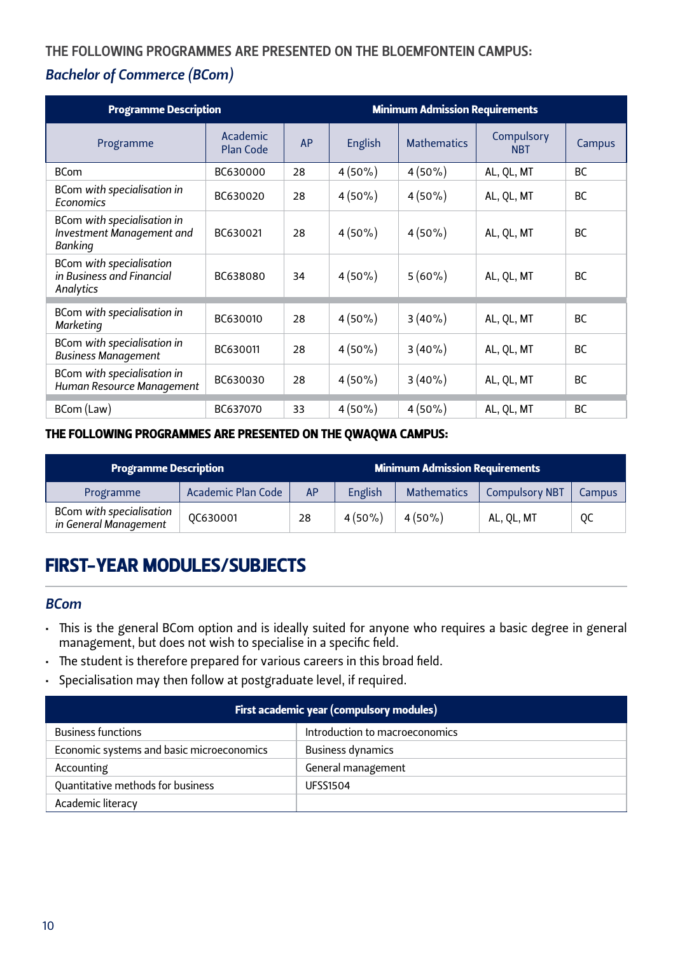#### THE FOLLOWING PROGRAMMES ARE PRESENTED ON THE BLOEMFONTEIN CAMPUS:

#### *Bachelor of Commerce (BCom)*

| <b>Programme Description</b>                                              |                              |    | <b>Minimum Admission Requirements</b> |                    |                          |           |
|---------------------------------------------------------------------------|------------------------------|----|---------------------------------------|--------------------|--------------------------|-----------|
| Programme                                                                 | Academic<br><b>Plan Code</b> | AP | English                               | <b>Mathematics</b> | Compulsory<br><b>NBT</b> | Campus    |
| <b>BCom</b>                                                               | BC630000                     | 28 | $4(50\%)$                             | $4(50\%)$          | AL, QL, MT               | <b>BC</b> |
| BCom with specialisation in<br>Economics                                  | BC630020                     | 28 | $4(50\%)$                             | $4(50\%)$          | AL, QL, MT               | BC        |
| BCom with specialisation in<br>Investment Management and<br>Banking       | BC630021                     | 28 | $4(50\%)$                             | $4(50\%)$          | AL, QL, MT               | <b>BC</b> |
| <b>BCom with specialisation</b><br>in Business and Financial<br>Analytics | BC638080                     | 34 | $4(50\%)$                             | $5(60\%)$          | AL, QL, MT               | <b>BC</b> |
| BCom with specialisation in<br><b>Marketing</b>                           | BC630010                     | 28 | $4(50\%)$                             | $3(40\%)$          | AL, QL, MT               | <b>BC</b> |
| BCom with specialisation in<br><b>Business Management</b>                 | BC630011                     | 28 | $4(50\%)$                             | $3(40\%)$          | AL, QL, MT               | <b>BC</b> |
| BCom with specialisation in<br>Human Resource Management                  | BC630030                     | 28 | $4(50\%)$                             | $3(40\%)$          | AL, QL, MT               | <b>BC</b> |
| BCom (Law)                                                                | BC637070                     | 33 | $4(50\%)$                             | $4(50\%)$          | AL, QL, MT               | BC        |

#### THE FOLLOWING PROGRAMMES ARE PRESENTED ON THE QWAQWA CAMPUS:

| <b>Programme Description</b>                             |                           |           | <b>Minimum Admission Requirements</b> |                    |                       |               |
|----------------------------------------------------------|---------------------------|-----------|---------------------------------------|--------------------|-----------------------|---------------|
| Programme                                                | <b>Academic Plan Code</b> | <b>AP</b> | English                               | <b>Mathematics</b> | <b>Compulsory NBT</b> | <b>Campus</b> |
| <b>BCom with specialisation</b><br>in General Management | OC630001                  | 28        | $4(50\%)$                             | $4(50\%)$          | AL, OL, MT            | 0C            |

# FIRST-YEAR MODULES/SUBJECTS

#### *BCom*

- • This is the general BCom option and is ideally suited for anyone who requires a basic degree in general management, but does not wish to specialise in a specific field.
- The student is therefore prepared for various careers in this broad field.
- • Specialisation may then follow at postgraduate level, if required.

| First academic year (compulsory modules)  |                                |  |
|-------------------------------------------|--------------------------------|--|
| <b>Business functions</b>                 | Introduction to macroeconomics |  |
| Economic systems and basic microeconomics | <b>Business dynamics</b>       |  |
| Accounting                                | General management             |  |
| Quantitative methods for business         | <b>UFSS1504</b>                |  |
| Academic literacy                         |                                |  |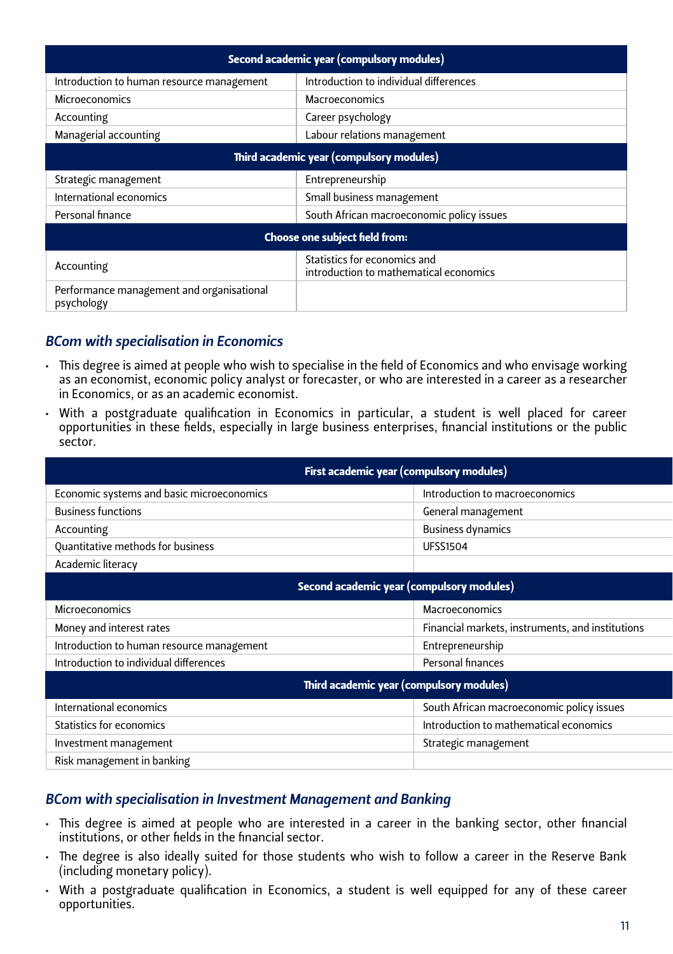| Second academic year (compulsory modules)                                            |                                           |  |  |  |
|--------------------------------------------------------------------------------------|-------------------------------------------|--|--|--|
| Introduction to human resource management                                            | Introduction to individual differences    |  |  |  |
| <b>Microeconomics</b>                                                                | Macroeconomics                            |  |  |  |
| Accounting                                                                           | Career psychology                         |  |  |  |
| Managerial accounting                                                                | Labour relations management               |  |  |  |
| Third academic year (compulsory modules)                                             |                                           |  |  |  |
| Strategic management                                                                 | Entrepreneurship                          |  |  |  |
| International economics                                                              | Small business management                 |  |  |  |
| Personal finance                                                                     | South African macroeconomic policy issues |  |  |  |
| Choose one subject field from:                                                       |                                           |  |  |  |
| Statistics for economics and<br>Accounting<br>introduction to mathematical economics |                                           |  |  |  |
| Performance management and organisational<br>psychology                              |                                           |  |  |  |

#### *BCom with specialisation in Economics*

- • This degree is aimed at people who wish to specialise in the field of Economics and who envisage working as an economist, economic policy analyst or forecaster, or who are interested in a career as a researcher in Economics, or as an academic economist.
- • With a postgraduate qualification in Economics in particular, a student is well placed for career opportunities in these fields, especially in large business enterprises, financial institutions or the public sector.

| First academic year (compulsory modules)  |                                                  |  |  |
|-------------------------------------------|--------------------------------------------------|--|--|
| Economic systems and basic microeconomics | Introduction to macroeconomics                   |  |  |
| <b>Business functions</b>                 | General management                               |  |  |
| Accounting                                | <b>Business dynamics</b>                         |  |  |
| Quantitative methods for business         | <b>UFSS1504</b>                                  |  |  |
| Academic literacy                         |                                                  |  |  |
| Second academic year (compulsory modules) |                                                  |  |  |
| Microeconomics                            | Macroeconomics                                   |  |  |
| Money and interest rates                  | Financial markets, instruments, and institutions |  |  |
| Introduction to human resource management | Entrepreneurship                                 |  |  |
| Introduction to individual differences    | Personal finances                                |  |  |
| Third academic year (compulsory modules)  |                                                  |  |  |
| International economics                   | South African macroeconomic policy issues        |  |  |
| Statistics for economics                  | Introduction to mathematical economics           |  |  |
| Investment management                     | Strategic management                             |  |  |
| Risk management in banking                |                                                  |  |  |

#### *BCom with specialisation in Investment Management and Banking*

- • This degree is aimed at people who are interested in a career in the banking sector, other financial institutions, or other fields in the financial sector.
- • The degree is also ideally suited for those students who wish to follow a career in the Reserve Bank (including monetary policy).
- • With a postgraduate qualification in Economics, a student is well equipped for any of these career opportunities.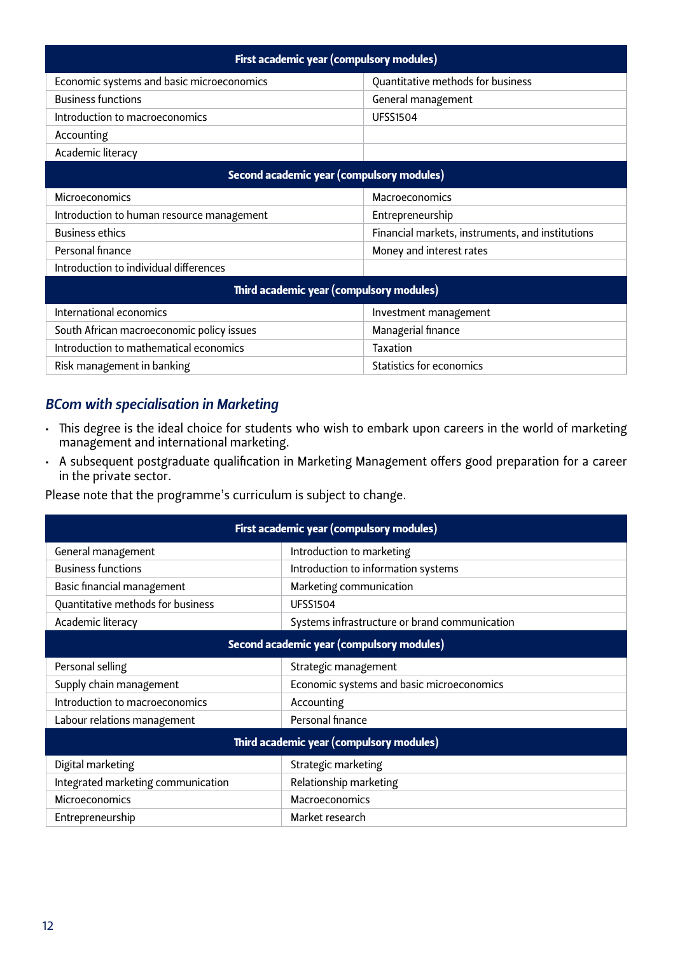| First academic year (compulsory modules)  |                                                  |  |  |  |
|-------------------------------------------|--------------------------------------------------|--|--|--|
| Economic systems and basic microeconomics | Quantitative methods for business                |  |  |  |
| <b>Business functions</b>                 | General management                               |  |  |  |
| Introduction to macroeconomics            | <b>UFSS1504</b>                                  |  |  |  |
| Accounting                                |                                                  |  |  |  |
| Academic literacy                         |                                                  |  |  |  |
| Second academic year (compulsory modules) |                                                  |  |  |  |
| Microeconomics<br>Macroeconomics          |                                                  |  |  |  |
| Introduction to human resource management | Entrepreneurship                                 |  |  |  |
| <b>Business ethics</b>                    | Financial markets, instruments, and institutions |  |  |  |
| Personal finance                          | Money and interest rates                         |  |  |  |
| Introduction to individual differences    |                                                  |  |  |  |
| Third academic year (compulsory modules)  |                                                  |  |  |  |
| International economics                   | Investment management                            |  |  |  |
| South African macroeconomic policy issues | Managerial finance                               |  |  |  |
| Introduction to mathematical economics    | Taxation                                         |  |  |  |

#### *BCom with specialisation in Marketing*

- • This degree is the ideal choice for students who wish to embark upon careers in the world of marketing management and international marketing.
- • A subsequent postgraduate qualification in Marketing Management offers good preparation for a career in the private sector.

Please note that the programme's curriculum is subject to change.

Risk management in banking Statistics for economics

| First academic year (compulsory modules)                             |                                               |  |  |  |
|----------------------------------------------------------------------|-----------------------------------------------|--|--|--|
| General management                                                   | Introduction to marketing                     |  |  |  |
| <b>Business functions</b>                                            | Introduction to information systems           |  |  |  |
| Basic financial management                                           | Marketing communication                       |  |  |  |
| Quantitative methods for business                                    | <b>UFSS1504</b>                               |  |  |  |
| Academic literacy                                                    | Systems infrastructure or brand communication |  |  |  |
| Second academic year (compulsory modules)                            |                                               |  |  |  |
| Personal selling                                                     | Strategic management                          |  |  |  |
| Economic systems and basic microeconomics<br>Supply chain management |                                               |  |  |  |
| Introduction to macroeconomics<br>Accounting                         |                                               |  |  |  |
| Labour relations management                                          | Personal finance                              |  |  |  |
| Third academic year (compulsory modules)                             |                                               |  |  |  |
| Digital marketing                                                    | Strategic marketing                           |  |  |  |
| Integrated marketing communication                                   | Relationship marketing                        |  |  |  |
| Microeconomics                                                       | Macroeconomics                                |  |  |  |
| Market research<br>Entrepreneurship                                  |                                               |  |  |  |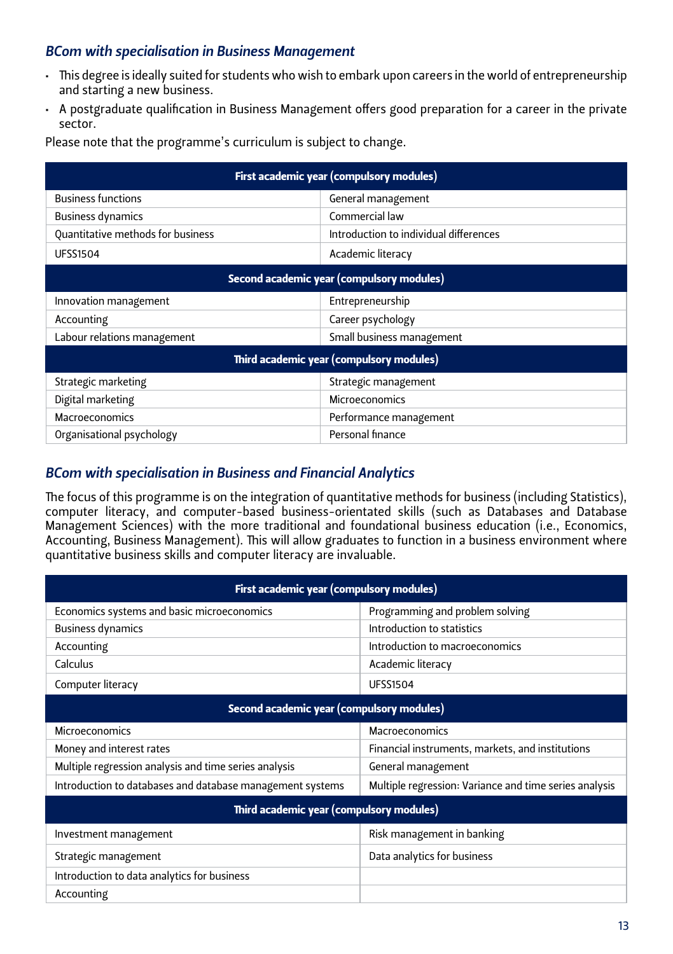#### *BCom with specialisation in Business Management*

- • This degree is ideally suited for students who wish to embark upon careers in the world of entrepreneurship and starting a new business.
- • A postgraduate qualification in Business Management offers good preparation for a career in the private sector.

| First academic year (compulsory modules)  |                                        |  |  |
|-------------------------------------------|----------------------------------------|--|--|
| <b>Business functions</b>                 | General management                     |  |  |
| <b>Business dynamics</b>                  | Commercial law                         |  |  |
| Quantitative methods for business         | Introduction to individual differences |  |  |
| <b>UFSS1504</b>                           | Academic literacy                      |  |  |
| Second academic year (compulsory modules) |                                        |  |  |
| Entrepreneurship<br>Innovation management |                                        |  |  |
| Accounting                                | Career psychology                      |  |  |
| Labour relations management               | Small business management              |  |  |
| Third academic year (compulsory modules)  |                                        |  |  |
| Strategic marketing                       | Strategic management                   |  |  |
| Digital marketing                         | Microeconomics                         |  |  |
| Macroeconomics                            | Performance management                 |  |  |
| Organisational psychology                 | Personal finance                       |  |  |

#### *BCom with specialisation in Business and Financial Analytics*

The focus of this programme is on the integration of quantitative methods for business (including Statistics), computer literacy, and computer-based business-orientated skills (such as Databases and Database Management Sciences) with the more traditional and foundational business education (i.e., Economics, Accounting, Business Management). This will allow graduates to function in a business environment where quantitative business skills and computer literacy are invaluable.

| First academic year (compulsory modules)                  |                                                        |  |  |  |  |
|-----------------------------------------------------------|--------------------------------------------------------|--|--|--|--|
| Economics systems and basic microeconomics                | Programming and problem solving                        |  |  |  |  |
| <b>Business dynamics</b>                                  | Introduction to statistics                             |  |  |  |  |
| Accounting                                                | Introduction to macroeconomics                         |  |  |  |  |
| Calculus                                                  | Academic literacy                                      |  |  |  |  |
| Computer literacy                                         | <b>UFSS1504</b>                                        |  |  |  |  |
| Second academic year (compulsory modules)                 |                                                        |  |  |  |  |
| Microeconomics                                            | <b>Macroeconomics</b>                                  |  |  |  |  |
| Money and interest rates                                  | Financial instruments, markets, and institutions       |  |  |  |  |
| Multiple regression analysis and time series analysis     | General management                                     |  |  |  |  |
| Introduction to databases and database management systems | Multiple regression: Variance and time series analysis |  |  |  |  |
| Third academic year (compulsory modules)                  |                                                        |  |  |  |  |
| Investment management                                     | Risk management in banking                             |  |  |  |  |
| Strategic management                                      | Data analytics for business                            |  |  |  |  |
| Introduction to data analytics for business               |                                                        |  |  |  |  |
| Accounting                                                |                                                        |  |  |  |  |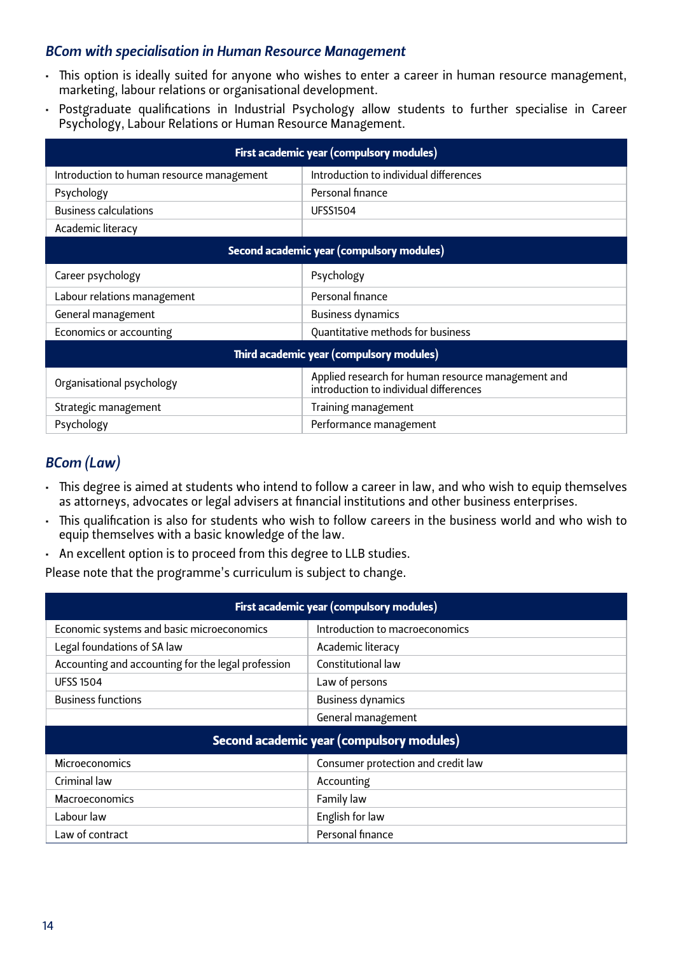#### *BCom with specialisation in Human Resource Management*

- • This option is ideally suited for anyone who wishes to enter a career in human resource management, marketing, labour relations or organisational development.
- Postgraduate qualifications in Industrial Psychology allow students to further specialise in Career Psychology, Labour Relations or Human Resource Management.

| First academic year (compulsory modules)  |                                                                                              |  |  |  |
|-------------------------------------------|----------------------------------------------------------------------------------------------|--|--|--|
| Introduction to human resource management | Introduction to individual differences                                                       |  |  |  |
| Psychology                                | Personal finance                                                                             |  |  |  |
| <b>Business calculations</b>              | <b>UFSS1504</b>                                                                              |  |  |  |
| Academic literacy                         |                                                                                              |  |  |  |
| Second academic year (compulsory modules) |                                                                                              |  |  |  |
| Career psychology                         | Psychology                                                                                   |  |  |  |
| Labour relations management               | Personal finance                                                                             |  |  |  |
| General management                        | <b>Business dynamics</b>                                                                     |  |  |  |
| Economics or accounting                   | Quantitative methods for business                                                            |  |  |  |
|                                           | Third academic year (compulsory modules)                                                     |  |  |  |
| Organisational psychology                 | Applied research for human resource management and<br>introduction to individual differences |  |  |  |
| Strategic management                      | Training management                                                                          |  |  |  |
| Psychology                                | Performance management                                                                       |  |  |  |

#### *BCom (Law)*

- • This degree is aimed at students who intend to follow a career in law, and who wish to equip themselves as attorneys, advocates or legal advisers at financial institutions and other business enterprises.
- • This qualification is also for students who wish to follow careers in the business world and who wish to equip themselves with a basic knowledge of the law.
- • An excellent option is to proceed from this degree to LLB studies.
- Please note that the programme's curriculum is subject to change.

| First academic year (compulsory modules)           |                                    |  |  |  |
|----------------------------------------------------|------------------------------------|--|--|--|
| Economic systems and basic microeconomics          | Introduction to macroeconomics     |  |  |  |
| Legal foundations of SA law                        | Academic literacy                  |  |  |  |
| Accounting and accounting for the legal profession | Constitutional law                 |  |  |  |
| <b>UFSS 1504</b>                                   | Law of persons                     |  |  |  |
| <b>Business functions</b>                          | <b>Business dynamics</b>           |  |  |  |
|                                                    | General management                 |  |  |  |
| Second academic year (compulsory modules)          |                                    |  |  |  |
| Microeconomics                                     | Consumer protection and credit law |  |  |  |
| Criminal law                                       | Accounting                         |  |  |  |
| Macroeconomics                                     | Family law                         |  |  |  |
| Labour law                                         | English for law                    |  |  |  |
| Law of contract                                    | Personal finance                   |  |  |  |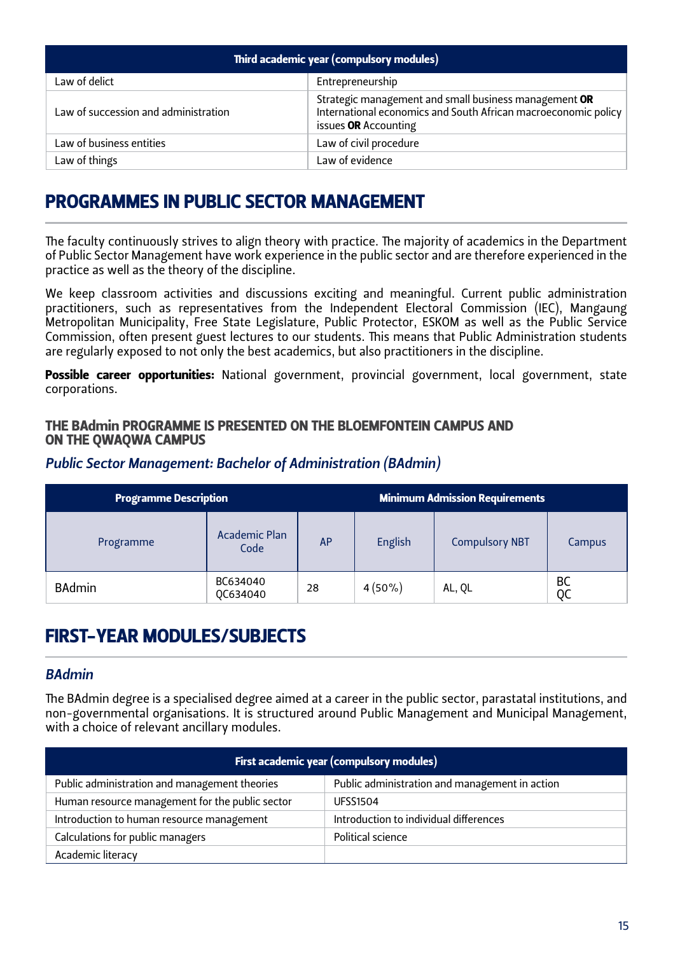| Third academic year (compulsory modules) |                                                                                                                                                 |  |  |  |
|------------------------------------------|-------------------------------------------------------------------------------------------------------------------------------------------------|--|--|--|
| Law of delict                            | Entrepreneurship                                                                                                                                |  |  |  |
| Law of succession and administration     | Strategic management and small business management OR<br>International economics and South African macroeconomic policy<br>issues OR Accounting |  |  |  |
| Law of business entities                 | Law of civil procedure                                                                                                                          |  |  |  |
| Law of things                            | Law of evidence                                                                                                                                 |  |  |  |

# PROGRAMMES IN PUBLIC SECTOR MANAGEMENT

The faculty continuously strives to align theory with practice. The majority of academics in the Department of Public Sector Management have work experience in the public sector and are therefore experienced in the practice as well as the theory of the discipline.

We keep classroom activities and discussions exciting and meaningful. Current public administration practitioners, such as representatives from the Independent Electoral Commission (IEC), Mangaung Metropolitan Municipality, Free State Legislature, Public Protector, ESKOM as well as the Public Service Commission, often present guest lectures to our students. This means that Public Administration students are regularly exposed to not only the best academics, but also practitioners in the discipline.

Possible career opportunities: National government, provincial government, local government, state corporations.

#### THE BAdmin PROGRAMME IS PRESENTED ON THE BLOEMFONTEIN CAMPUS AND ON THE QWAQWA CAMPUS

#### *Public Sector Management: Bachelor of Administration (BAdmin)*

| <b>Programme Description</b> |                              |           | <b>Minimum Admission Requirements</b> |                       |          |
|------------------------------|------------------------------|-----------|---------------------------------------|-----------------------|----------|
| Programme                    | <b>Academic Plan</b><br>Code | <b>AP</b> | English                               | <b>Compulsory NBT</b> | Campus   |
| <b>BAdmin</b>                | BC634040<br>QC634040         | 28        | $4(50\%)$                             | AL, QL                | BC<br>oc |

# FIRST-YEAR MODULES/SUBJECTS

#### *BAdmin*

The BAdmin degree is a specialised degree aimed at a career in the public sector, parastatal institutions, and non-governmental organisations. It is structured around Public Management and Municipal Management, with a choice of relevant ancillary modules.

| First academic year (compulsory modules)        |                                                |  |  |  |
|-------------------------------------------------|------------------------------------------------|--|--|--|
| Public administration and management theories   | Public administration and management in action |  |  |  |
| Human resource management for the public sector | <b>UFSS1504</b>                                |  |  |  |
| Introduction to human resource management       | Introduction to individual differences         |  |  |  |
| Calculations for public managers                | Political science                              |  |  |  |
| Academic literacy                               |                                                |  |  |  |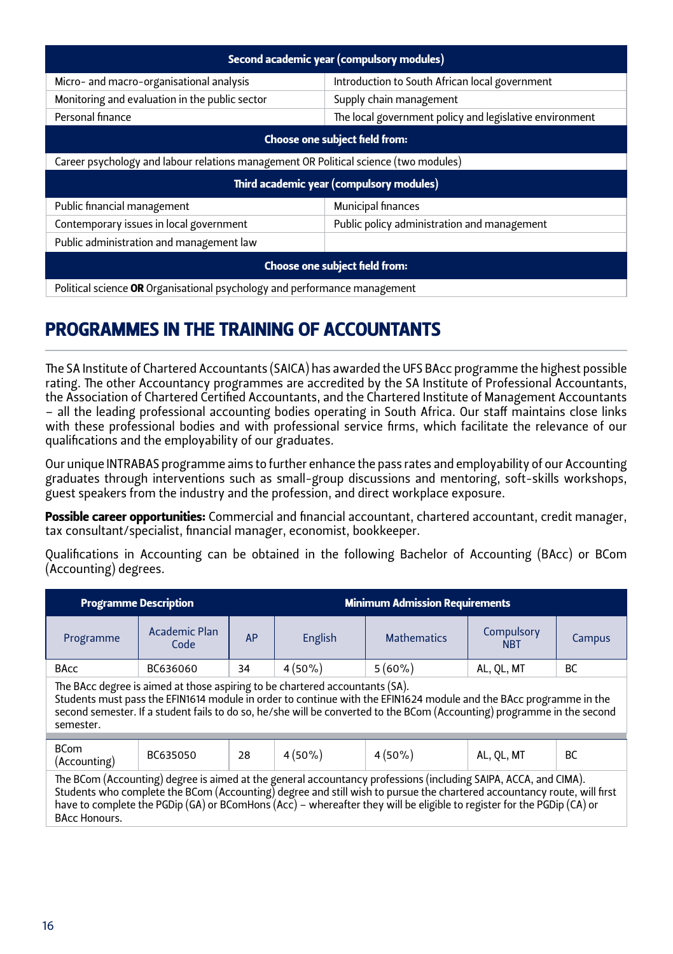| Second academic year (compulsory modules)                                            |                                                         |  |  |  |
|--------------------------------------------------------------------------------------|---------------------------------------------------------|--|--|--|
| Micro- and macro-organisational analysis                                             | Introduction to South African local government          |  |  |  |
| Monitoring and evaluation in the public sector                                       | Supply chain management                                 |  |  |  |
| Personal finance                                                                     | The local government policy and legislative environment |  |  |  |
| <b>Choose one subject field from:</b>                                                |                                                         |  |  |  |
| Career psychology and labour relations management OR Political science (two modules) |                                                         |  |  |  |
| Third academic year (compulsory modules)                                             |                                                         |  |  |  |
| Public financial management                                                          | Municipal finances                                      |  |  |  |
| Contemporary issues in local government                                              | Public policy administration and management             |  |  |  |
| Public administration and management law                                             |                                                         |  |  |  |
| Choose one subject field from:                                                       |                                                         |  |  |  |
| Political science OR Organisational psychology and performance management            |                                                         |  |  |  |

# PROGRAMMES IN THE TRAINING OF ACCOUNTANTS

The SA Institute of Chartered Accountants (SAICA) has awarded the UFS BAcc programme the highest possible rating. The other Accountancy programmes are accredited by the SA Institute of Professional Accountants, the Association of Chartered Certified Accountants, and the Chartered Institute of Management Accountants – all the leading professional accounting bodies operating in South Africa. Our staff maintains close links with these professional bodies and with professional service firms, which facilitate the relevance of our qualifications and the employability of our graduates.

Our unique INTRABAS programme aims to further enhance the pass rates and employability of our Accounting graduates through interventions such as small-group discussions and mentoring, soft-skills workshops, guest speakers from the industry and the profession, and direct workplace exposure.

Possible career opportunities: Commercial and financial accountant, chartered accountant, credit manager, tax consultant/specialist, financial manager, economist, bookkeeper.

Qualifications in Accounting can be obtained in the following Bachelor of Accounting (BAcc) or BCom (Accounting) degrees.

| <b>Programme Description</b>                                                                                                                                                                                                                                                                                                                                                                 |                       | <b>Minimum Admission Requirements</b>                   |                               |           |                          |           |  |
|----------------------------------------------------------------------------------------------------------------------------------------------------------------------------------------------------------------------------------------------------------------------------------------------------------------------------------------------------------------------------------------------|-----------------------|---------------------------------------------------------|-------------------------------|-----------|--------------------------|-----------|--|
| Programme                                                                                                                                                                                                                                                                                                                                                                                    | Academic Plan<br>Code | <b>AP</b>                                               | <b>Mathematics</b><br>English |           | Compulsory<br><b>NBT</b> | Campus    |  |
| <b>BAcc</b>                                                                                                                                                                                                                                                                                                                                                                                  | BC636060              | 34                                                      | $4(50\%)$                     | $5(60\%)$ | AL, QL, MT               | <b>BC</b> |  |
| The BAcc degree is aimed at those aspiring to be chartered accountants (SA).<br>Students must pass the EFIN1614 module in order to continue with the EFIN1624 module and the BAcc programme in the<br>second semester. If a student fails to do so, he/she will be converted to the BCom (Accounting) programme in the second<br>semester.                                                   |                       |                                                         |                               |           |                          |           |  |
| <b>BCom</b><br>(Accounting)                                                                                                                                                                                                                                                                                                                                                                  | BC635050              | $4(50\%)$<br>$4(50\%)$<br>AL, QL, MT<br><b>BC</b><br>28 |                               |           |                          |           |  |
| The BCom (Accounting) degree is aimed at the general accountancy professions (including SAIPA, ACCA, and CIMA).<br>Students who complete the BCom (Accounting) degree and still wish to pursue the chartered accountancy route, will first<br>have to complete the PGDip (GA) or BComHons (Acc) - whereafter they will be eligible to register for the PGDip (CA) or<br><b>BAcc Honours.</b> |                       |                                                         |                               |           |                          |           |  |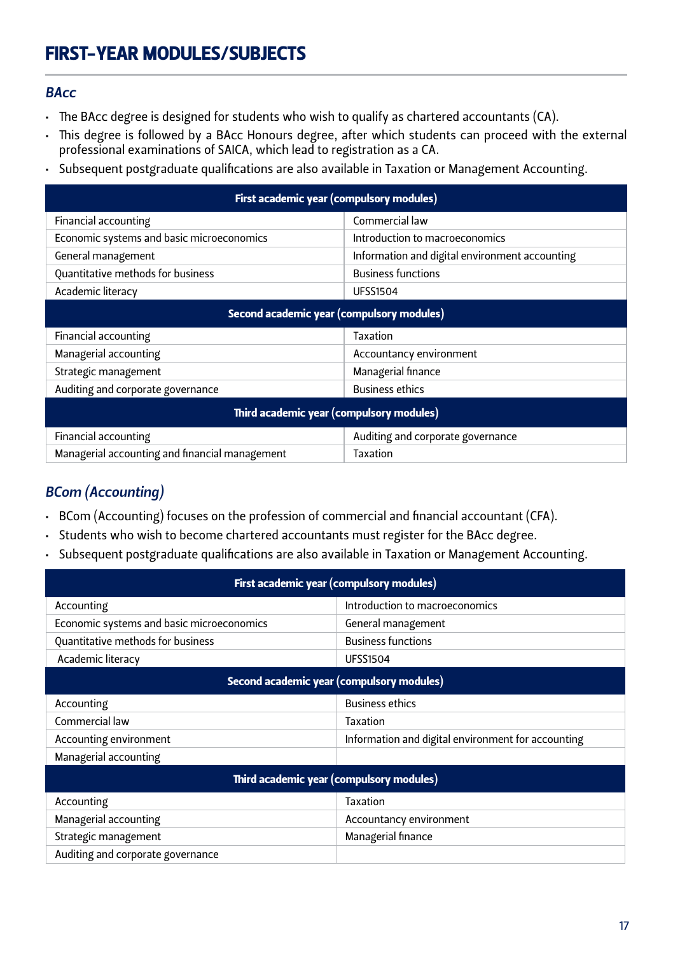# FIRST-YEAR MODULES/SUBJECTS

#### *BAcc*

- The BAcc degree is designed for students who wish to qualify as chartered accountants (CA).
- • This degree is followed by a BAcc Honours degree, after which students can proceed with the external professional examinations of SAICA, which lead to registration as a CA.
- • Subsequent postgraduate qualifications are also available in Taxation or Management Accounting.

| First academic year (compulsory modules)       |                                                |  |  |  |  |
|------------------------------------------------|------------------------------------------------|--|--|--|--|
| Financial accounting                           | Commercial law                                 |  |  |  |  |
| Economic systems and basic microeconomics      | Introduction to macroeconomics                 |  |  |  |  |
| General management                             | Information and digital environment accounting |  |  |  |  |
| Quantitative methods for business              | <b>Business functions</b>                      |  |  |  |  |
| Academic literacy                              | <b>UFSS1504</b>                                |  |  |  |  |
| Second academic year (compulsory modules)      |                                                |  |  |  |  |
| Financial accounting                           | Taxation                                       |  |  |  |  |
| Managerial accounting                          | Accountancy environment                        |  |  |  |  |
| Strategic management                           | Managerial finance                             |  |  |  |  |
| Auditing and corporate governance              | <b>Business ethics</b>                         |  |  |  |  |
| Third academic year (compulsory modules)       |                                                |  |  |  |  |
| Financial accounting                           | Auditing and corporate governance              |  |  |  |  |
| Managerial accounting and financial management | Taxation                                       |  |  |  |  |

## *BCom (Accounting)*

- • BCom (Accounting) focuses on the profession of commercial and financial accountant (CFA).
- Students who wish to become chartered accountants must register for the BAcc degree.
- • Subsequent postgraduate qualifications are also available in Taxation or Management Accounting.

| First academic year (compulsory modules)  |                                                    |  |  |  |
|-------------------------------------------|----------------------------------------------------|--|--|--|
| Accounting                                | Introduction to macroeconomics                     |  |  |  |
| Economic systems and basic microeconomics | General management                                 |  |  |  |
| Quantitative methods for business         | <b>Business functions</b>                          |  |  |  |
| Academic literacy                         | <b>UFSS1504</b>                                    |  |  |  |
| Second academic year (compulsory modules) |                                                    |  |  |  |
| Accounting                                | <b>Business ethics</b>                             |  |  |  |
| Commercial law                            | Taxation                                           |  |  |  |
| Accounting environment                    | Information and digital environment for accounting |  |  |  |
| Managerial accounting                     |                                                    |  |  |  |
|                                           | Third academic year (compulsory modules)           |  |  |  |
| Accounting                                | Taxation                                           |  |  |  |
| Managerial accounting                     | Accountancy environment                            |  |  |  |
| Strategic management                      | Managerial finance                                 |  |  |  |
| Auditing and corporate governance         |                                                    |  |  |  |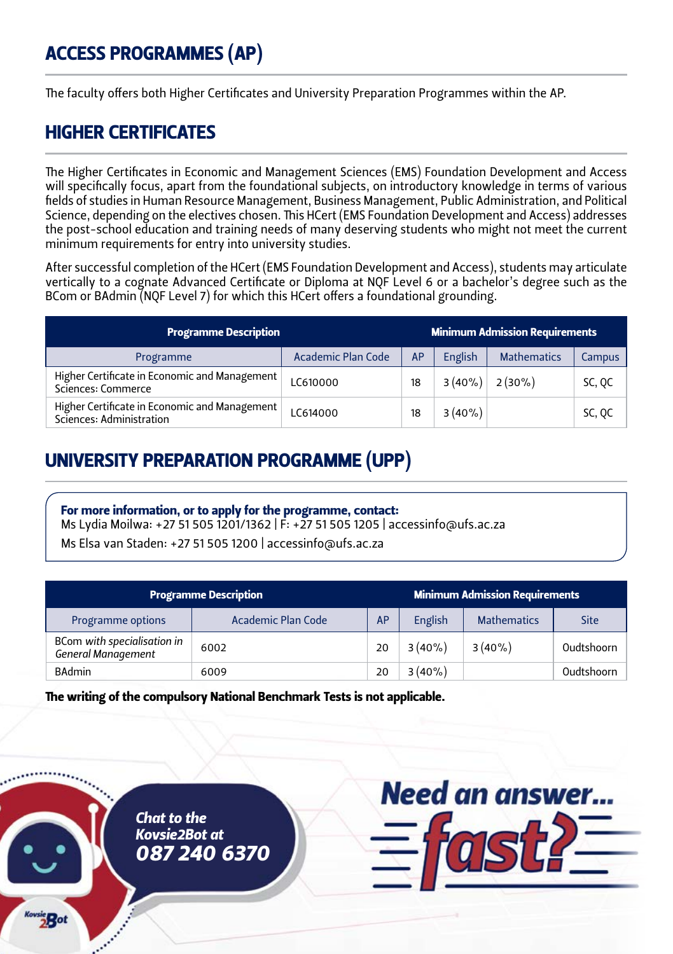# ACCESS PROGRAMMES (AP)

The faculty offers both Higher Certificates and University Preparation Programmes within the AP.

# HIGHER CERTIFICATES

The Higher Certificates in Economic and Management Sciences (EMS) Foundation Development and Access will specifically focus, apart from the foundational subjects, on introductory knowledge in terms of various fields of studies in Human Resource Management, Business Management, Public Administration, and Political Science, depending on the electives chosen. This HCert (EMS Foundation Development and Access) addresses the post-school education and training needs of many deserving students who might not meet the current minimum requirements for entry into university studies.

After successful completion of the HCert (EMS Foundation Development and Access), students may articulate vertically to a cognate Advanced Certificate or Diploma at NQF Level 6 or a bachelor's degree such as the BCom or BAdmin (NQF Level 7) for which this HCert offers a foundational grounding.

| <b>Programme Description</b>                                              |                           |           | <b>Minimum Admission Requirements</b> |                    |        |  |
|---------------------------------------------------------------------------|---------------------------|-----------|---------------------------------------|--------------------|--------|--|
| Programme                                                                 | <b>Academic Plan Code</b> | <b>AP</b> | English                               | <b>Mathematics</b> | Campus |  |
| Higher Certificate in Economic and Management<br>Sciences: Commerce       | LC610000                  | 18        | $3(40\%)$                             | $2(30\%)$          | SC, QC |  |
| Higher Certificate in Economic and Management<br>Sciences: Administration | LC614000                  | 18        | $3(40\%)$                             |                    | SC, QC |  |

# UNIVERSITY PREPARATION PROGRAMME (UPP)

#### For more information, or to apply for the programme, contact:

Ms Lydia Moilwa: +27 51 505 1201/1362 | F: +27 51 505 1205 | accessinfo@ufs.ac.za

Ms Elsa van Staden: +27 51 505 1200 | accessinfo@ufs.ac.za

| <b>Programme Description</b>                             |                    |    |           | <b>Minimum Admission Requirements</b> |              |
|----------------------------------------------------------|--------------------|----|-----------|---------------------------------------|--------------|
| Programme options                                        | Academic Plan Code | AP | English   | <b>Mathematics</b>                    | Site         |
| BCom with specialisation in<br><b>General Management</b> | 6002               | 20 | $3(40\%)$ | $3(40\%)$                             | Oudtshoorn   |
| <b>BAdmin</b>                                            | 6009               | 20 | $3(40\%)$ |                                       | Oudtshoorn l |

The writing of the compulsory National Benchmark Tests is not applicable.





42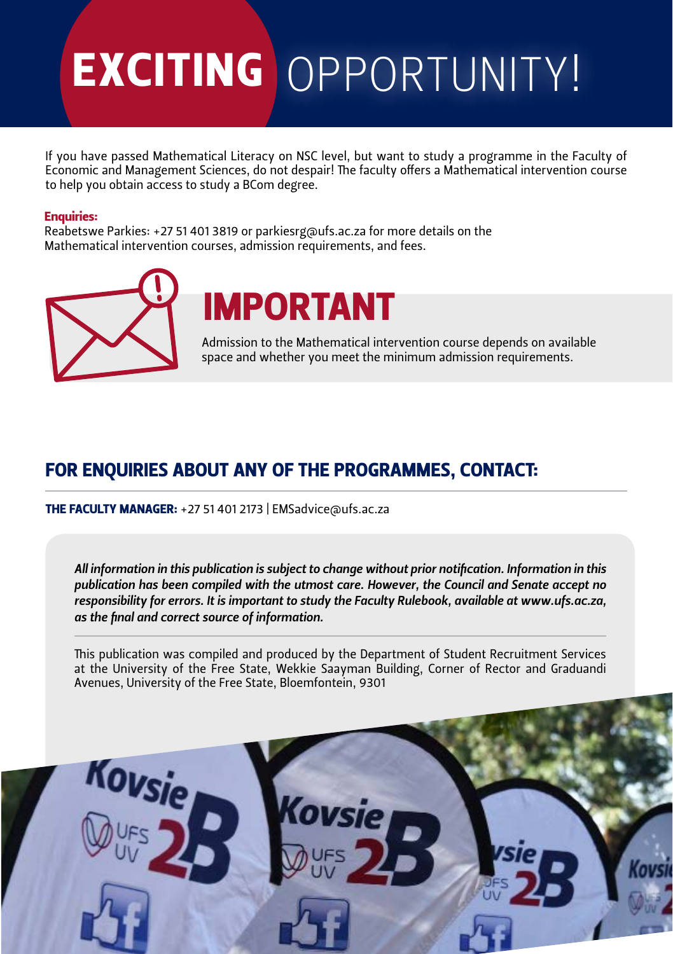# EXCITING OPPORTUNITY!

If you have passed Mathematical Literacy on NSC level, but want to study a programme in the Faculty of Economic and Management Sciences, do not despair! The faculty offers a Mathematical intervention course to help you obtain access to study a BCom degree.

#### Enquiries:

Reabetswe Parkies: +27 51 401 3819 or parkiesrg@ufs.ac.za for more details on the Mathematical intervention courses, admission requirements, and fees.





Admission to the Mathematical intervention course depends on available space and whether you meet the minimum admission requirements.

# For enquiries about any of the programmes, CONTACT:

tHE Faculty Manager: +27 51 401 2173 | EMSadvice@ufs.ac.za

*All information in this publication is subject to change without prior notification. Information in this publication has been compiled with the utmost care. However, the Council and Senate accept no responsibility for errors. It is important to study the Faculty Rulebook, available at www.ufs.ac.za, as the final and correct source of information.*

This publication was compiled and produced by the Department of Student Recruitment Services at the University of the Free State, Wekkie Saayman Building, Corner of Rector and Graduandi Avenues, University of the Free State, Bloemfontein, 9301